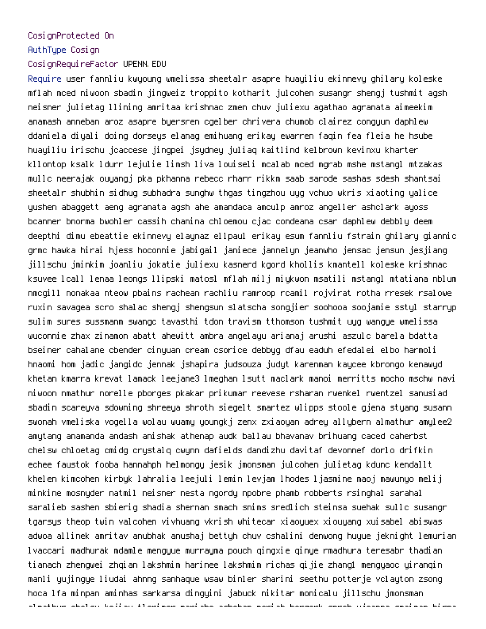## CosignProtected On

AuthType Cosign

## CosignRequireFactor UPENN.EDU

Require user fannliu kwyoung wmelissa sheetalr asapre huayiliu ekinnevy ghilary koleske mflah mced niwoon sbadin jingweiz troppito kotharit julcohen susangr shengj tushmit agsh neisner julietag llining amritaa krishnac zmen chuv juliexu agathao agranata aimeekim anamash anneban aroz asapre byersren cgelber chrivera chumob clairez congyun daphlew ddaniela diyali doing dorseys elanag emihuang erikay ewarren faqin fea fleia he hsube huayiliu irischu jcaccese jingpei jsydney juliaq kaitlind kelbrown kevinxu kharter kllontop ksalk ldurr lejulie limsh liva louiseli mcalab mced mgrab mshe mstangl mtzakas mullc neerajak ouyangj pka pkhanna rebecc rharr rikkm saab sarode sashas sdesh shantsai sheetalr shubhin sidhug subhadra sunghw thgas tingzhou uyg vchuo wkris xiaoting yalice yushen abaggett aeng agranata agsh ahe amandaca amculp amroz angeller ashclark ayoss bcanner bnorma bwohler cassih chanina chloemou cjac condeana csar daphlew debbly deem deepthi dimu ebeattie ekinnevy elaynaz ellpaul erikay esum fannliu fstrain ghilary giannic grmc hawka hirai hjess hoconnie jabigail janiece jannelyn jeanwho jensac jensun jesjiang jillschu jminkim joanliu jokatie juliexu kasnerd kgord khollis kmantell koleske krishnac ksuvee lcall lenaa leongs llipski matosl mflah milj miykwon msatili mstangl mtatiana nblum nmcgill nonakaa nteow pbains rachean rachliu ramroop rcamil rojvirat rotha rresek rsalowe ruxin savagea scro shalac shengj shengsun slatscha songjier soohooa soojamie sstyl starryp sulim sures sussmanm swangc tavasthi tdon travism tthomson tushmit uyg wangye wmelissa wuconnie zhax zinamon abatt ahewitt ambra angelayu arianaj arushi aszulc barela bdatta bseiner cahalane cbender cinyuan cream csorice debbyg dfau eaduh efedalei elbo harmoli hnaomi hom jadic jangidc jennak jshapira judsouza judyt karenman kaycee kbrongo kenawyd khetan kmarra krevat lamack leejane3 lmeghan lsutt maclark manoi merritts mocho mschw navi niwoon nmathur norelle pborges pkakar prikumar reevese rsharan rwenkel rwentzel sanusiad sbadin scareyva sdowning shreeya shroth siegelt smartez wlipps stoole gjena styang susann swonah vmeliska vogella wolau wuamy youngkj zenx zxiaoyan adrey allybern almathur amylee2 amytang anamanda andash anishak athenap audk ballau bhavanav brihuang caced caherbst chelsw chloetag cmidg crystalq cwynn dafields dandizhu davitaf devonnef dorlo drifkin echee faustok fooba hannahph helmongy jesik jmonsman julcohen julietag kdunc kendallt khelen kimcohen kirbyk lahralia leejuli lemin levjam lhodes ljasmine maoj mawunyo melij minkine mosnyder natmil neisner nesta ngordy npobre phamb robberts rsinghal sarahal saralieb sashen sbierig shadia shernan smach snims sredlich steinsa suehak sullc susangr tgarsys theop twin valcohen vivhuang vkrish whitecar xiaoyuex xiouyang xuisabel abiswas adwoa allinek amritav anubhak anushaj bettyh chuv cshalini denwong huyue jeknight lemurian lvaccari madhurak mdamle mengyue murrayma pouch qingxie qinye rmadhura teresabr thadian tianach zhengwei zhqian lakshmim harinee lakshmim richas qijie zhang1 mengyaoc yiranqin manli yujingye liudai ahnng sanhaque wsaw binler sharini seethu potterje vclayton zsong hoca lfa minpan aminhas sarkarsa dingyini jabuck nikitar monicalu jillschu jmonsman almathur chelsw kejiaw tlorimer mariahc ashchan meriah bergerk sprch wjoanna smaiman hirpa